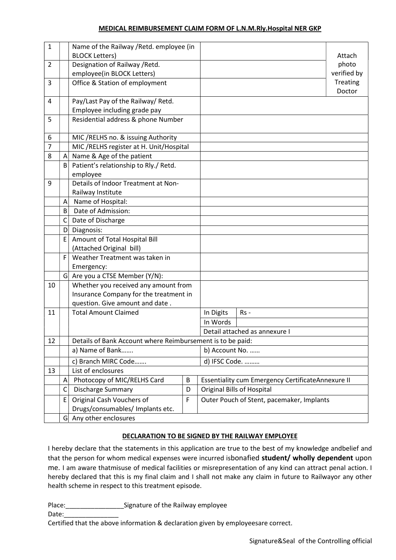#### MEDICAL REIMBURSEMENT CLAIM FORM OF L.N.M.Rly.Hospital NER GKP

| 1              |                                         | Name of the Railway / Retd. employee (in                   |                               |           |                                                   |             |  |
|----------------|-----------------------------------------|------------------------------------------------------------|-------------------------------|-----------|---------------------------------------------------|-------------|--|
|                |                                         | <b>BLOCK Letters)</b>                                      |                               |           | Attach                                            |             |  |
| $\overline{2}$ |                                         | Designation of Railway / Retd.                             |                               |           |                                                   | photo       |  |
|                |                                         | employee(in BLOCK Letters)                                 |                               |           |                                                   | verified by |  |
| 3              |                                         | Office & Station of employment                             |                               |           |                                                   | Treating    |  |
|                |                                         |                                                            |                               |           |                                                   | Doctor      |  |
| 4              |                                         | Pay/Last Pay of the Railway/ Retd.                         |                               |           |                                                   |             |  |
|                |                                         | Employee including grade pay                               |                               |           |                                                   |             |  |
| 5              |                                         | Residential address & phone Number                         |                               |           |                                                   |             |  |
|                |                                         |                                                            |                               |           |                                                   |             |  |
| 6              |                                         | MIC / RELHS no. & issuing Authority                        |                               |           |                                                   |             |  |
| 7              |                                         | MIC / RELHS register at H. Unit/Hospital                   |                               |           |                                                   |             |  |
| 8              | $\mathsf{A}$                            | Name & Age of the patient                                  |                               |           |                                                   |             |  |
|                | $\mathsf{B}$                            | Patient's relationship to Rly./ Retd.                      |                               |           |                                                   |             |  |
|                |                                         | employee                                                   |                               |           |                                                   |             |  |
| 9              |                                         | Details of Indoor Treatment at Non-                        |                               |           |                                                   |             |  |
|                |                                         | Railway Institute                                          |                               |           |                                                   |             |  |
|                | A                                       | Name of Hospital:                                          |                               |           |                                                   |             |  |
|                | B                                       | Date of Admission:                                         |                               |           |                                                   |             |  |
|                | C                                       | Date of Discharge                                          |                               |           |                                                   |             |  |
|                | D                                       | Diagnosis:                                                 |                               |           |                                                   |             |  |
|                | E                                       | Amount of Total Hospital Bill                              |                               |           |                                                   |             |  |
|                |                                         | (Attached Original bill)                                   |                               |           |                                                   |             |  |
|                | F                                       | Weather Treatment was taken in                             |                               |           |                                                   |             |  |
|                |                                         | Emergency:                                                 |                               |           |                                                   |             |  |
|                | $\vert$<br>Are you a CTSE Member (Y/N): |                                                            |                               |           |                                                   |             |  |
| 10             |                                         | Whether you received any amount from                       |                               |           |                                                   |             |  |
|                |                                         | Insurance Company for the treatment in                     |                               |           |                                                   |             |  |
|                |                                         | question. Give amount and date.                            |                               |           |                                                   |             |  |
| 11             |                                         | <b>Total Amount Claimed</b>                                |                               | In Digits | $Rs -$                                            |             |  |
|                |                                         |                                                            |                               | In Words  |                                                   |             |  |
|                |                                         |                                                            | Detail attached as annexure I |           |                                                   |             |  |
| 12             |                                         | Details of Bank Account where Reimbursement is to be paid: |                               |           |                                                   |             |  |
|                |                                         | a) Name of Bank<br>b) Account No.                          |                               |           |                                                   |             |  |
|                |                                         | c) Branch MIRC Code                                        |                               |           | d) IFSC Code.                                     |             |  |
| 13             |                                         | List of enclosures                                         |                               |           |                                                   |             |  |
|                | Α                                       | Photocopy of MIC/RELHS Card                                | B                             |           | Essentiality cum Emergency CertificateAnnexure II |             |  |
|                | C                                       | Discharge Summary                                          | D                             |           | <b>Original Bills of Hospital</b>                 |             |  |
|                | E                                       | Original Cash Vouchers of                                  | F                             |           | Outer Pouch of Stent, pacemaker, Implants         |             |  |
|                |                                         | Drugs/consumables/ Implants etc.                           |                               |           |                                                   |             |  |
|                | G                                       | Any other enclosures                                       |                               |           |                                                   |             |  |

### DECLARATION TO BE SIGNED BY THE RAILWAY EMPLOYEE

I hereby declare that the statements in this application are true to the best of my knowledge andbelief and that the person for whom medical expenses were incurred isbonafied student/ wholly dependent upon me. I am aware thatmisuse of medical facilities or misrepresentation of any kind can attract penal action. I hereby declared that this is my final claim and I shall not make any claim in future to Railwayor any other health scheme in respect to this treatment episode.

Place: \_\_\_\_\_\_\_\_\_\_\_\_\_\_\_\_\_\_\_\_\_\_\_\_\_\_Signature of the Railway employee

Date:  $\overline{\phantom{a}}$ 

Certified that the above information & declaration given by employeesare correct.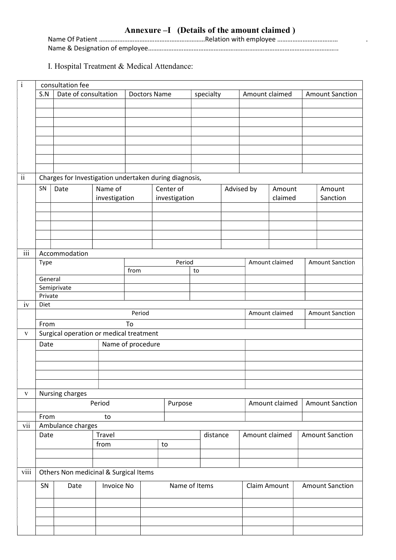# Annexure –I (Details of the amount claimed )

Name Of Patient ………………………………………………………………Relation with employee …………………………………………… Name & Designation of employee…………………………………………………………………………………………………..

### I. Hospital Treatment & Medical Attendance:

| $\rm i$          | consultation fee                                                  |                                         |                     |      |           |               |                |                |                                          |              |                        |                    |                        |
|------------------|-------------------------------------------------------------------|-----------------------------------------|---------------------|------|-----------|---------------|----------------|----------------|------------------------------------------|--------------|------------------------|--------------------|------------------------|
|                  | Date of consultation<br>S.N                                       |                                         | <b>Doctors Name</b> |      | specialty |               | Amount claimed |                | <b>Amount Sanction</b>                   |              |                        |                    |                        |
|                  |                                                                   |                                         |                     |      |           |               |                |                |                                          |              |                        |                    |                        |
|                  |                                                                   |                                         |                     |      |           |               |                |                |                                          |              |                        |                    |                        |
|                  |                                                                   |                                         |                     |      |           |               |                |                |                                          |              |                        |                    |                        |
|                  |                                                                   |                                         |                     |      |           |               |                |                |                                          |              |                        |                    |                        |
|                  |                                                                   |                                         |                     |      |           |               |                |                |                                          |              |                        |                    |                        |
|                  |                                                                   |                                         |                     |      |           |               |                |                |                                          |              |                        |                    |                        |
|                  |                                                                   |                                         |                     |      |           |               |                |                |                                          |              |                        |                    |                        |
| $\ddot{\rm ii}$  |                                                                   |                                         |                     |      |           |               |                |                |                                          |              |                        |                    |                        |
|                  | Charges for Investigation undertaken during diagnosis,<br>Name of |                                         |                     |      |           |               |                |                |                                          |              |                        |                    |                        |
|                  | SN                                                                | Date                                    |                     |      | Center of |               |                |                | Advised by                               | Amount       |                        | Amount<br>Sanction |                        |
|                  |                                                                   |                                         | investigation       |      |           | investigation |                |                |                                          | claimed      |                        |                    |                        |
|                  |                                                                   |                                         |                     |      |           |               |                |                |                                          |              |                        |                    |                        |
|                  |                                                                   |                                         |                     |      |           |               |                |                |                                          |              |                        |                    |                        |
|                  |                                                                   |                                         |                     |      |           |               |                |                |                                          |              |                        |                    |                        |
|                  |                                                                   |                                         |                     |      |           |               |                |                |                                          |              |                        |                    |                        |
| $\overline{iii}$ |                                                                   | Accommodation                           |                     |      |           |               |                |                |                                          |              |                        |                    |                        |
|                  | Type                                                              |                                         |                     |      | Period    |               |                |                | Amount claimed                           |              | <b>Amount Sanction</b> |                    |                        |
|                  |                                                                   |                                         |                     | from |           |               |                | to             |                                          |              |                        |                    |                        |
|                  | General                                                           |                                         |                     |      |           |               |                |                |                                          |              |                        |                    |                        |
|                  | Private                                                           | Semiprivate                             |                     |      |           |               |                |                |                                          |              |                        |                    |                        |
| iv               | Diet                                                              |                                         |                     |      |           |               |                |                |                                          |              |                        |                    |                        |
|                  | Period                                                            |                                         |                     |      |           |               |                |                | Amount claimed<br><b>Amount Sanction</b> |              |                        |                    |                        |
|                  | To<br>From                                                        |                                         |                     |      |           |               |                |                |                                          |              |                        |                    |                        |
| $\mathbf{V}$     |                                                                   | Surgical operation or medical treatment |                     |      |           |               |                |                |                                          |              |                        |                    |                        |
|                  |                                                                   | Name of procedure<br>Date               |                     |      |           |               |                |                |                                          |              |                        |                    |                        |
|                  |                                                                   |                                         |                     |      |           |               |                |                |                                          |              |                        |                    |                        |
|                  |                                                                   |                                         |                     |      |           |               |                |                |                                          |              |                        |                    |                        |
|                  |                                                                   |                                         |                     |      |           |               |                |                |                                          |              |                        |                    |                        |
|                  |                                                                   |                                         |                     |      |           |               |                |                |                                          |              |                        |                    |                        |
| $\mathbf{V}$     |                                                                   | Nursing charges                         |                     |      |           |               |                |                |                                          |              |                        |                    |                        |
|                  | Period                                                            |                                         |                     |      |           | Purpose       |                |                |                                          |              | Amount claimed         |                    | <b>Amount Sanction</b> |
|                  | From<br>to                                                        |                                         |                     |      |           |               |                |                |                                          |              |                        |                    |                        |
| vii              |                                                                   | Ambulance charges                       |                     |      |           |               |                |                |                                          |              |                        |                    |                        |
|                  | Travel<br>Date                                                    |                                         |                     |      | distance  |               |                | Amount claimed |                                          |              | <b>Amount Sanction</b> |                    |                        |
|                  | from                                                              |                                         |                     |      | to        |               |                |                |                                          |              |                        |                    |                        |
|                  |                                                                   |                                         |                     |      |           |               |                |                |                                          |              |                        |                    |                        |
|                  |                                                                   |                                         |                     |      |           |               |                |                |                                          |              |                        |                    |                        |
| viii             |                                                                   | Others Non medicinal & Surgical Items   |                     |      |           |               |                |                |                                          |              |                        |                    |                        |
|                  | SN                                                                | Date                                    | <b>Invoice No</b>   |      |           | Name of Items |                |                |                                          | Claim Amount |                        |                    | <b>Amount Sanction</b> |
|                  |                                                                   |                                         |                     |      |           |               |                |                |                                          |              |                        |                    |                        |
|                  |                                                                   |                                         |                     |      |           |               |                |                |                                          |              |                        |                    |                        |
|                  |                                                                   |                                         |                     |      |           |               |                |                |                                          |              |                        |                    |                        |
|                  |                                                                   |                                         |                     |      |           |               |                |                |                                          |              |                        |                    |                        |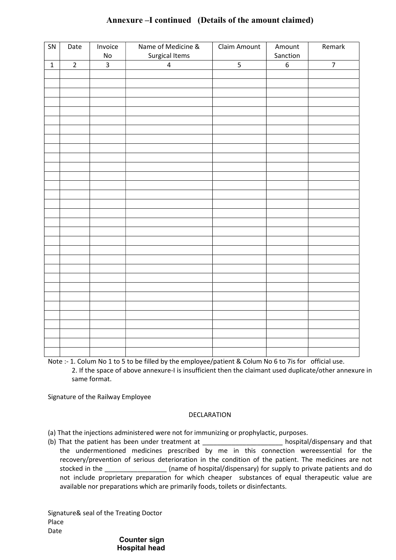| SN          | Date           | Invoice<br>$\operatorname{\mathsf{No}}$ | Name of Medicine &<br>Surgical Items | Claim Amount   | Amount<br>Sanction | Remark         |
|-------------|----------------|-----------------------------------------|--------------------------------------|----------------|--------------------|----------------|
| $\mathbf 1$ | $\overline{2}$ | $\overline{\mathbf{3}}$                 | $\overline{\mathbf{4}}$              | $\overline{5}$ | $\boldsymbol{6}$   | $\overline{7}$ |
|             |                |                                         |                                      |                |                    |                |
|             |                |                                         |                                      |                |                    |                |
|             |                |                                         |                                      |                |                    |                |
|             |                |                                         |                                      |                |                    |                |
|             |                |                                         |                                      |                |                    |                |
|             |                |                                         |                                      |                |                    |                |
|             |                |                                         |                                      |                |                    |                |
|             |                |                                         |                                      |                |                    |                |
|             |                |                                         |                                      |                |                    |                |
|             |                |                                         |                                      |                |                    |                |
|             |                |                                         |                                      |                |                    |                |
|             |                |                                         |                                      |                |                    |                |
|             |                |                                         |                                      |                |                    |                |
|             |                |                                         |                                      |                |                    |                |
|             |                |                                         |                                      |                |                    |                |
|             |                |                                         |                                      |                |                    |                |
|             |                |                                         |                                      |                |                    |                |
|             |                |                                         |                                      |                |                    |                |
|             |                |                                         |                                      |                |                    |                |
|             |                |                                         |                                      |                |                    |                |
|             |                |                                         |                                      |                |                    |                |
|             |                |                                         |                                      |                |                    |                |
|             |                |                                         |                                      |                |                    |                |
|             |                |                                         |                                      |                |                    |                |
|             |                |                                         |                                      |                |                    |                |
|             |                |                                         |                                      |                |                    |                |
|             |                |                                         |                                      |                |                    |                |
|             |                |                                         |                                      |                |                    |                |
|             |                |                                         |                                      |                |                    |                |
|             |                |                                         |                                      |                |                    |                |
|             |                |                                         |                                      |                |                    |                |

## Annexure –I continued (Details of the amount claimed)

Note :- 1. Colum No 1 to 5 to be filled by the employee/patient & Colum No 6 to 7is for official use. 2. If the space of above annexure-I is insufficient then the claimant used duplicate/other annexure in same format.

Signature of the Railway Employee

#### DECLARATION

(a) That the injections administered were not for immunizing or prophylactic, purposes.

(b) That the patient has been under treatment at  $\qquad \qquad$  hospital/dispensary and that the undermentioned medicines prescribed by me in this connection wereessential for the recovery/prevention of serious deterioration in the condition of the patient. The medicines are not stocked in the \_\_\_\_\_\_\_\_\_\_\_\_\_\_\_\_\_ (name of hospital/dispensary) for supply to private patients and do not include proprietary preparation for which cheaper substances of equal therapeutic value are available nor preparations which are primarily foods, toilets or disinfectants.

Signature& seal of the Treating Doctor Place Date

#### Counter sign Hospital head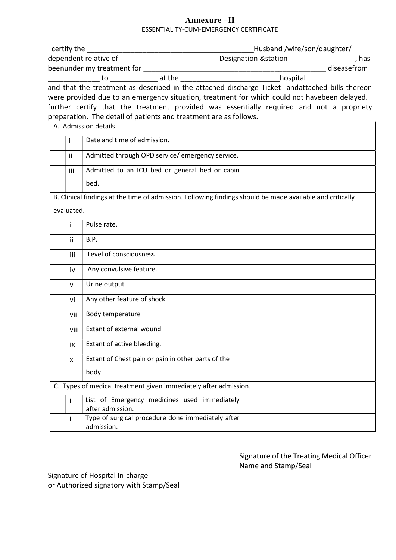### Annexure –II ESSENTIALITY-CUM-EMERGENCY CERTIFICATE

|            |                                                                                                           | Husband /wife/son/daughter/ |  |
|------------|-----------------------------------------------------------------------------------------------------------|-----------------------------|--|
|            | dependent relative of _____________________________Designation &station___________________, has           |                             |  |
|            |                                                                                                           |                             |  |
|            |                                                                                                           |                             |  |
|            | and that the treatment as described in the attached discharge Ticket andattached bills thereon            |                             |  |
|            | were provided due to an emergency situation, treatment for which could not havebeen delayed. I            |                             |  |
|            | further certify that the treatment provided was essentially required and not a propriety                  |                             |  |
|            | preparation. The detail of patients and treatment are as follows.                                         |                             |  |
|            | A. Admission details.                                                                                     |                             |  |
| Ť          | Date and time of admission.                                                                               |                             |  |
| ii.        | Admitted through OPD service/emergency service.                                                           |                             |  |
| iii        | Admitted to an ICU bed or general bed or cabin                                                            |                             |  |
|            | bed.                                                                                                      |                             |  |
|            | B. Clinical findings at the time of admission. Following findings should be made available and critically |                             |  |
| evaluated. |                                                                                                           |                             |  |
| i.         | Pulse rate.                                                                                               |                             |  |
| ii.        | B.P.                                                                                                      |                             |  |
| iii        | Level of consciousness                                                                                    |                             |  |
| iv         | Any convulsive feature.                                                                                   |                             |  |
| v          | Urine output                                                                                              |                             |  |
| vi         | Any other feature of shock.                                                                               |                             |  |
| vii        | Body temperature                                                                                          |                             |  |
| viii       | Extant of external wound                                                                                  |                             |  |
| ix         | Extant of active bleeding.                                                                                |                             |  |
| x          | Extant of Chest pain or pain in other parts of the                                                        |                             |  |
|            | body.                                                                                                     |                             |  |
|            | C. Types of medical treatment given immediately after admission.                                          |                             |  |
| Ť          | List of Emergency medicines used immediately<br>after admission.                                          |                             |  |
| ii         | Type of surgical procedure done immediately after<br>admission.                                           |                             |  |
|            |                                                                                                           |                             |  |

Signature of the Treating Medical Officer Name and Stamp/Seal

Signature of Hospital In-charge or Authorized signatory with Stamp/Seal